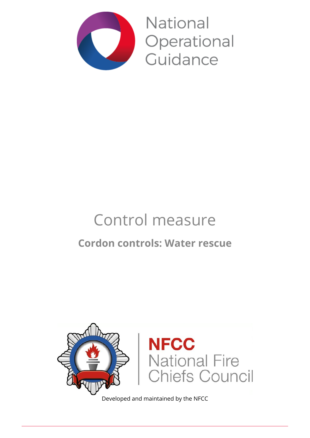

**National** Operational Guidance

# Control measure

## **Cordon controls: Water rescue**



Developed and maintained by the NFCC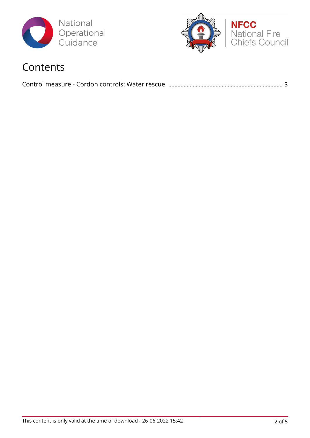



### Contents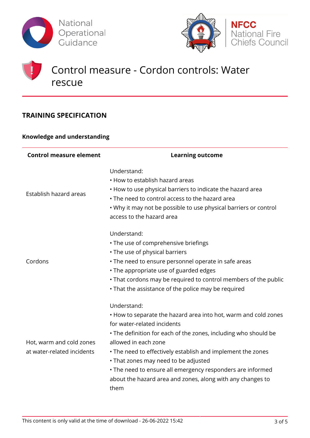



### Control measure - Cordon controls: Water rescue

#### **TRAINING SPECIFICATION**

#### **Knowledge and understanding**

| <b>Control measure element</b>                         | <b>Learning outcome</b>                                                                                                                                                                                                                                                                                                                                                                                                                             |
|--------------------------------------------------------|-----------------------------------------------------------------------------------------------------------------------------------------------------------------------------------------------------------------------------------------------------------------------------------------------------------------------------------------------------------------------------------------------------------------------------------------------------|
| Establish hazard areas                                 | Understand:<br>• How to establish hazard areas<br>• How to use physical barriers to indicate the hazard area<br>• The need to control access to the hazard area<br>. Why it may not be possible to use physical barriers or control<br>access to the hazard area                                                                                                                                                                                    |
| Cordons                                                | Understand:<br>• The use of comprehensive briefings<br>• The use of physical barriers<br>• The need to ensure personnel operate in safe areas<br>• The appropriate use of guarded edges<br>• That cordons may be required to control members of the public<br>• That the assistance of the police may be required                                                                                                                                   |
| Hot, warm and cold zones<br>at water-related incidents | Understand:<br>. How to separate the hazard area into hot, warm and cold zones<br>for water-related incidents<br>• The definition for each of the zones, including who should be<br>allowed in each zone<br>. The need to effectively establish and implement the zones<br>• That zones may need to be adjusted<br>• The need to ensure all emergency responders are informed<br>about the hazard area and zones, along with any changes to<br>them |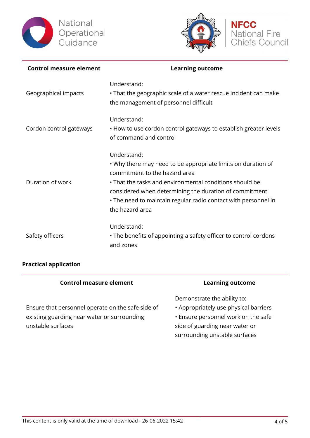



| <b>Control measure element</b> | <b>Learning outcome</b>                                                                                                                                                                                                                                                                                                |
|--------------------------------|------------------------------------------------------------------------------------------------------------------------------------------------------------------------------------------------------------------------------------------------------------------------------------------------------------------------|
| Geographical impacts           | Understand:<br>• That the geographic scale of a water rescue incident can make<br>the management of personnel difficult                                                                                                                                                                                                |
| Cordon control gateways        | Understand:<br>. How to use cordon control gateways to establish greater levels<br>of command and control                                                                                                                                                                                                              |
| Duration of work               | Understand:<br>. Why there may need to be appropriate limits on duration of<br>commitment to the hazard area<br>• That the tasks and environmental conditions should be<br>considered when determining the duration of commitment<br>• The need to maintain regular radio contact with personnel in<br>the hazard area |
| Safety officers                | Understand:<br>• The benefits of appointing a safety officer to control cordons<br>and zones                                                                                                                                                                                                                           |

#### **Practical application**

| <b>Control measure element</b>                                                                                        | <b>Learning outcome</b>                                                                                                                                                        |
|-----------------------------------------------------------------------------------------------------------------------|--------------------------------------------------------------------------------------------------------------------------------------------------------------------------------|
| Ensure that personnel operate on the safe side of<br>existing guarding near water or surrounding<br>unstable surfaces | Demonstrate the ability to:<br>• Appropriately use physical barriers<br>. Ensure personnel work on the safe<br>side of guarding near water or<br>surrounding unstable surfaces |